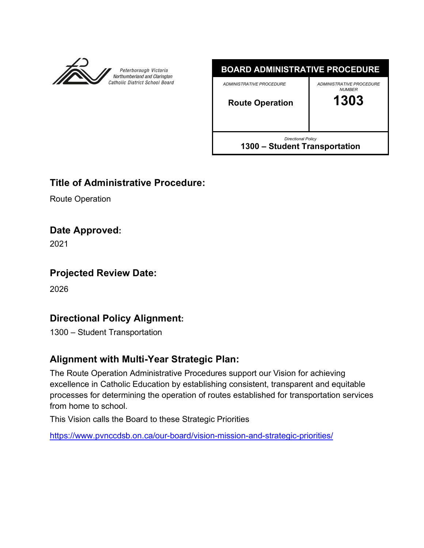



# **Title of Administrative Procedure:**

Route Operation

## **Date Approved:**

2021

# **Projected Review Date:**

2026

# **Directional Policy Alignment:**

1300 – Student Transportation

# **Alignment with Multi-Year Strategic Plan:**

The Route Operation Administrative Procedures support our Vision for achieving excellence in Catholic Education by establishing consistent, transparent and equitable processes for determining the operation of routes established for transportation services from home to school.

This Vision calls the Board to these Strategic Priorities

https://www.pvnccdsb.on.ca/our-board/vision-mission-and-strategic-priorities/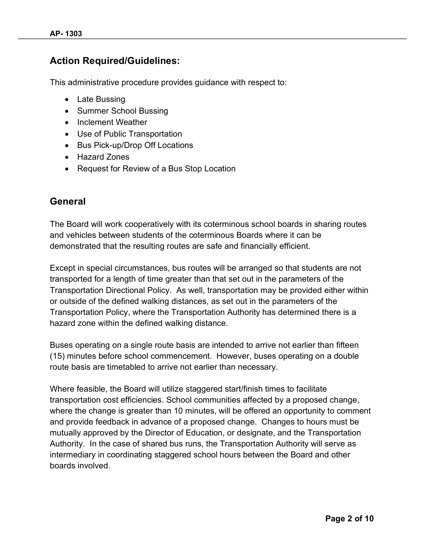## **Action Required/Guidelines:**

This administrative procedure provides guidance with respect to:

- Late Bussing
- Summer School Bussing
- Inclement Weather
- Use of Public Transportation
- Bus Pick-up/Drop Off Locations
- Hazard Zones
- Request for Review of a Bus Stop Location

## **General**

The Board will work cooperatively with its coterminous school boards in sharing routes and vehicles between students of the coterminous Boards where it can be demonstrated that the resulting routes are safe and financially efficient.

Except in special circumstances, bus routes will be arranged so that students are not transported for a length of time greater than that set out in the parameters of the Transportation Directional Policy. As well, transportation may be provided either within or outside of the defined walking distances, as set out in the parameters of the Transportation Policy, where the Transportation Authority has determined there is a hazard zone within the defined walking distance.

Buses operating on a single route basis are intended to arrive not earlier than fifteen (15) minutes before school commencement. However, buses operating on a double route basis are timetabled to arrive not earlier than necessary.

Where feasible, the Board will utilize staggered start/finish times to facilitate transportation cost efficiencies. School communities affected by a proposed change, where the change is greater than 10 minutes, will be offered an opportunity to comment and provide feedback in advance of a proposed change. Changes to hours must be mutually approved by the Director of Education, or designate, and the Transportation Authority. In the case of shared bus runs, the Transportation Authority will serve as intermediary in coordinating staggered school hours between the Board and other boards involved.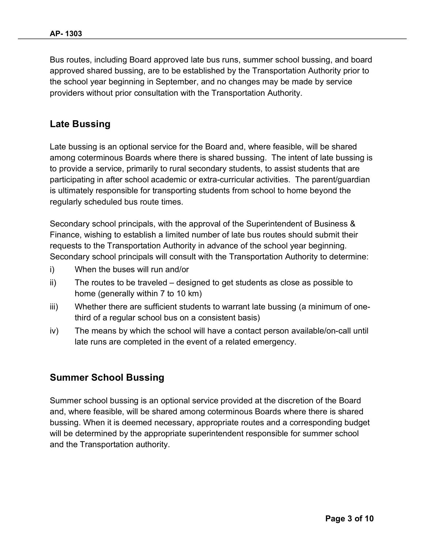Bus routes, including Board approved late bus runs, summer school bussing, and board approved shared bussing, are to be established by the Transportation Authority prior to the school year beginning in September, and no changes may be made by service providers without prior consultation with the Transportation Authority.

### **Late Bussing**

Late bussing is an optional service for the Board and, where feasible, will be shared among coterminous Boards where there is shared bussing. The intent of late bussing is to provide a service, primarily to rural secondary students, to assist students that are participating in after school academic or extra-curricular activities. The parent/guardian is ultimately responsible for transporting students from school to home beyond the regularly scheduled bus route times.

Secondary school principals, with the approval of the Superintendent of Business & Finance, wishing to establish a limited number of late bus routes should submit their requests to the Transportation Authority in advance of the school year beginning. Secondary school principals will consult with the Transportation Authority to determine:

- i) When the buses will run and/or
- ii) The routes to be traveled designed to get students as close as possible to home (generally within 7 to 10 km)
- iii) Whether there are sufficient students to warrant late bussing (a minimum of onethird of a regular school bus on a consistent basis)
- iv) The means by which the school will have a contact person available/on-call until late runs are completed in the event of a related emergency.

### **Summer School Bussing**

Summer school bussing is an optional service provided at the discretion of the Board and, where feasible, will be shared among coterminous Boards where there is shared bussing. When it is deemed necessary, appropriate routes and a corresponding budget will be determined by the appropriate superintendent responsible for summer school and the Transportation authority.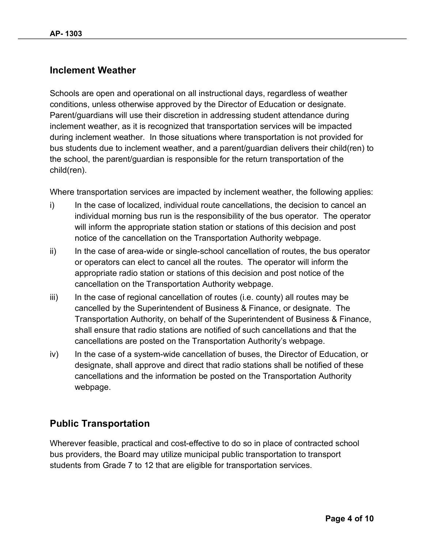### **Inclement Weather**

Schools are open and operational on all instructional days, regardless of weather conditions, unless otherwise approved by the Director of Education or designate. Parent/guardians will use their discretion in addressing student attendance during inclement weather, as it is recognized that transportation services will be impacted during inclement weather. In those situations where transportation is not provided for bus students due to inclement weather, and a parent/guardian delivers their child(ren) to the school, the parent/guardian is responsible for the return transportation of the child(ren).

Where transportation services are impacted by inclement weather, the following applies:

- i) In the case of localized, individual route cancellations, the decision to cancel an individual morning bus run is the responsibility of the bus operator. The operator will inform the appropriate station station or stations of this decision and post notice of the cancellation on the Transportation Authority webpage.
- ii) In the case of area-wide or single-school cancellation of routes, the bus operator or operators can elect to cancel all the routes. The operator will inform the appropriate radio station or stations of this decision and post notice of the cancellation on the Transportation Authority webpage.
- $iii)$  In the case of regional cancellation of routes (i.e. county) all routes may be cancelled by the Superintendent of Business & Finance, or designate. The Transportation Authority, on behalf of the Superintendent of Business & Finance, shall ensure that radio stations are notified of such cancellations and that the cancellations are posted on the Transportation Authority's webpage.
- iv) In the case of a system-wide cancellation of buses, the Director of Education, or designate, shall approve and direct that radio stations shall be notified of these cancellations and the information be posted on the Transportation Authority webpage.

## **Public Transportation**

Wherever feasible, practical and cost-effective to do so in place of contracted school bus providers, the Board may utilize municipal public transportation to transport students from Grade 7 to 12 that are eligible for transportation services.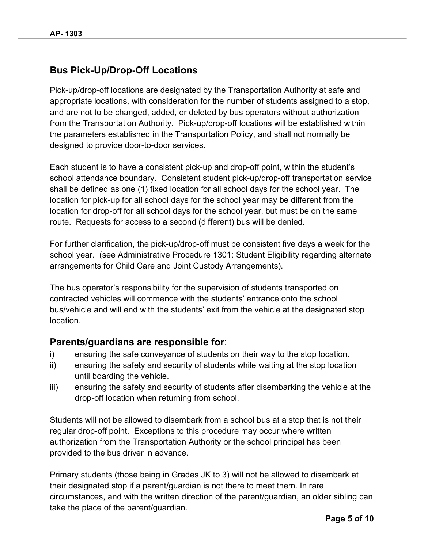## **Bus Pick-Up/Drop-Off Locations**

Pick-up/drop-off locations are designated by the Transportation Authority at safe and appropriate locations, with consideration for the number of students assigned to a stop, and are not to be changed, added, or deleted by bus operators without authorization from the Transportation Authority. Pick-up/drop-off locations will be established within the parameters established in the Transportation Policy, and shall not normally be designed to provide door-to-door services.

Each student is to have a consistent pick-up and drop-off point, within the student's school attendance boundary. Consistent student pick-up/drop-off transportation service shall be defined as one (1) fixed location for all school days for the school year. The location for pick-up for all school days for the school year may be different from the location for drop-off for all school days for the school year, but must be on the same route. Requests for access to a second (different) bus will be denied.

For further clarification, the pick-up/drop-off must be consistent five days a week for the school year. (see Administrative Procedure 1301: Student Eligibility regarding alternate arrangements for Child Care and Joint Custody Arrangements).

The bus operator's responsibility for the supervision of students transported on contracted vehicles will commence with the students' entrance onto the school bus/vehicle and will end with the students' exit from the vehicle at the designated stop location.

### **Parents/guardians are responsible for**:

- i) ensuring the safe conveyance of students on their way to the stop location.
- ii) ensuring the safety and security of students while waiting at the stop location until boarding the vehicle.
- iii) ensuring the safety and security of students after disembarking the vehicle at the drop-off location when returning from school.

Students will not be allowed to disembark from a school bus at a stop that is not their regular drop-off point. Exceptions to this procedure may occur where written authorization from the Transportation Authority or the school principal has been provided to the bus driver in advance.

Primary students (those being in Grades JK to 3) will not be allowed to disembark at their designated stop if a parent/guardian is not there to meet them. In rare circumstances, and with the written direction of the parent/guardian, an older sibling can take the place of the parent/guardian.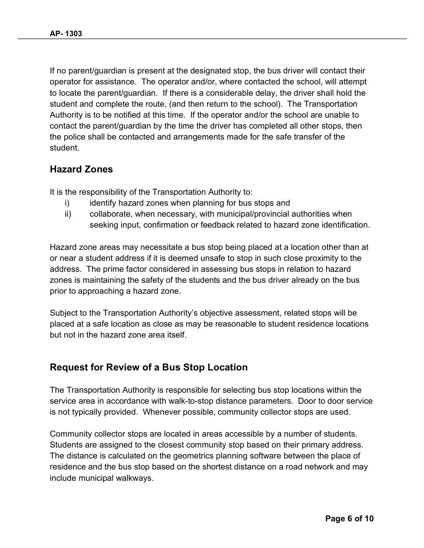If no parent/guardian is present at the designated stop, the bus driver will contact their operator for assistance. The operator and/or, where contacted the school, will attempt to locate the parent/guardian. If there is a considerable delay, the driver shall hold the student and complete the route, (and then return to the school). The Transportation Authority is to be notified at this time. If the operator and/or the school are unable to contact the parent/guardian by the time the driver has completed all other stops, then the police shall be contacted and arrangements made for the safe transfer of the student.

## **Hazard Zones**

It is the responsibility of the Transportation Authority to:

- i) identify hazard zones when planning for bus stops and
- ii) collaborate, when necessary, with municipal/provincial authorities when seeking input, confirmation or feedback related to hazard zone identification.

Hazard zone areas may necessitate a bus stop being placed at a location other than at or near a student address if it is deemed unsafe to stop in such close proximity to the address. The prime factor considered in assessing bus stops in relation to hazard zones is maintaining the safety of the students and the bus driver already on the bus prior to approaching a hazard zone.

Subject to the Transportation Authority's objective assessment, related stops will be placed at a safe location as close as may be reasonable to student residence locations but not in the hazard zone area itself.

### **Request for Review of a Bus Stop Location**

The Transportation Authority is responsible for selecting bus stop locations within the service area in accordance with walk-to-stop distance parameters. Door to door service is not typically provided. Whenever possible, community collector stops are used.

Community collector stops are located in areas accessible by a number of students. Students are assigned to the closest community stop based on their primary address. The distance is calculated on the geometrics planning software between the place of residence and the bus stop based on the shortest distance on a road network and may include municipal walkways.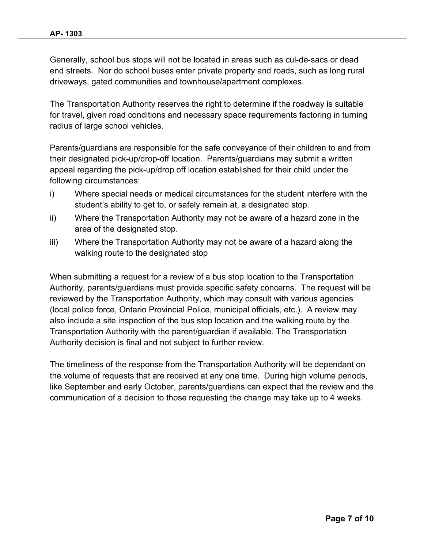Generally, school bus stops will not be located in areas such as cul-de-sacs or dead end streets. Nor do school buses enter private property and roads, such as long rural driveways, gated communities and townhouse/apartment complexes.

The Transportation Authority reserves the right to determine if the roadway is suitable for travel, given road conditions and necessary space requirements factoring in turning radius of large school vehicles.

Parents/guardians are responsible for the safe conveyance of their children to and from their designated pick-up/drop-off location. Parents/guardians may submit a written appeal regarding the pick-up/drop off location established for their child under the following circumstances:

- i) Where special needs or medical circumstances for the student interfere with the student's ability to get to, or safely remain at, a designated stop.
- ii) Where the Transportation Authority may not be aware of a hazard zone in the area of the designated stop.
- iii) Where the Transportation Authority may not be aware of a hazard along the walking route to the designated stop

When submitting a request for a review of a bus stop location to the Transportation Authority, parents/guardians must provide specific safety concerns. The request will be reviewed by the Transportation Authority, which may consult with various agencies (local police force, Ontario Provincial Police, municipal officials, etc.). A review may also include a site inspection of the bus stop location and the walking route by the Transportation Authority with the parent/guardian if available. The Transportation Authority decision is final and not subject to further review.

The timeliness of the response from the Transportation Authority will be dependant on the volume of requests that are received at any one time. During high volume periods, like September and early October, parents/guardians can expect that the review and the communication of a decision to those requesting the change may take up to 4 weeks.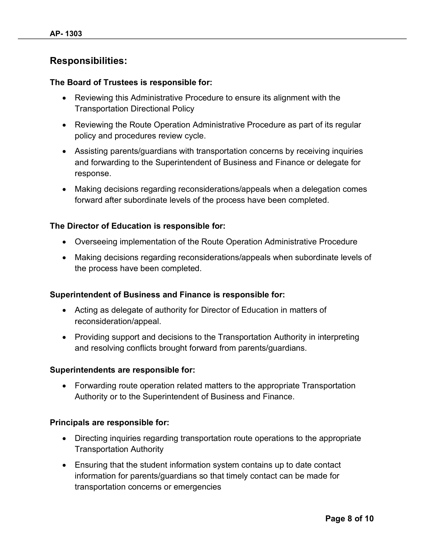## **Responsibilities:**

#### **The Board of Trustees is responsible for:**

- Reviewing this Administrative Procedure to ensure its alignment with the Transportation Directional Policy
- Reviewing the Route Operation Administrative Procedure as part of its regular policy and procedures review cycle.
- Assisting parents/guardians with transportation concerns by receiving inquiries and forwarding to the Superintendent of Business and Finance or delegate for response.
- Making decisions regarding reconsiderations/appeals when a delegation comes forward after subordinate levels of the process have been completed.

#### **The Director of Education is responsible for:**

- Overseeing implementation of the Route Operation Administrative Procedure
- Making decisions regarding reconsiderations/appeals when subordinate levels of the process have been completed.

#### **Superintendent of Business and Finance is responsible for:**

- Acting as delegate of authority for Director of Education in matters of reconsideration/appeal.
- Providing support and decisions to the Transportation Authority in interpreting and resolving conflicts brought forward from parents/guardians.

#### **Superintendents are responsible for:**

• Forwarding route operation related matters to the appropriate Transportation Authority or to the Superintendent of Business and Finance.

#### **Principals are responsible for:**

- Directing inquiries regarding transportation route operations to the appropriate Transportation Authority
- Ensuring that the student information system contains up to date contact information for parents/guardians so that timely contact can be made for transportation concerns or emergencies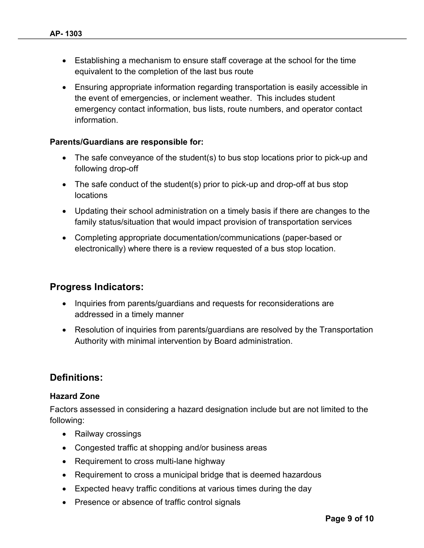- Establishing a mechanism to ensure staff coverage at the school for the time equivalent to the completion of the last bus route
- Ensuring appropriate information regarding transportation is easily accessible in the event of emergencies, or inclement weather. This includes student emergency contact information, bus lists, route numbers, and operator contact information.

#### **Parents/Guardians are responsible for:**

- The safe conveyance of the student(s) to bus stop locations prior to pick-up and following drop-off
- The safe conduct of the student(s) prior to pick-up and drop-off at bus stop locations
- Updating their school administration on a timely basis if there are changes to the family status/situation that would impact provision of transportation services
- Completing appropriate documentation/communications (paper-based or electronically) where there is a review requested of a bus stop location.

## **Progress Indicators:**

- Inquiries from parents/guardians and requests for reconsiderations are addressed in a timely manner
- Resolution of inquiries from parents/guardians are resolved by the Transportation Authority with minimal intervention by Board administration.

### **Definitions:**

#### **Hazard Zone**

Factors assessed in considering a hazard designation include but are not limited to the following:

- Railway crossings
- Congested traffic at shopping and/or business areas
- Requirement to cross multi-lane highway
- Requirement to cross a municipal bridge that is deemed hazardous
- Expected heavy traffic conditions at various times during the day
- Presence or absence of traffic control signals